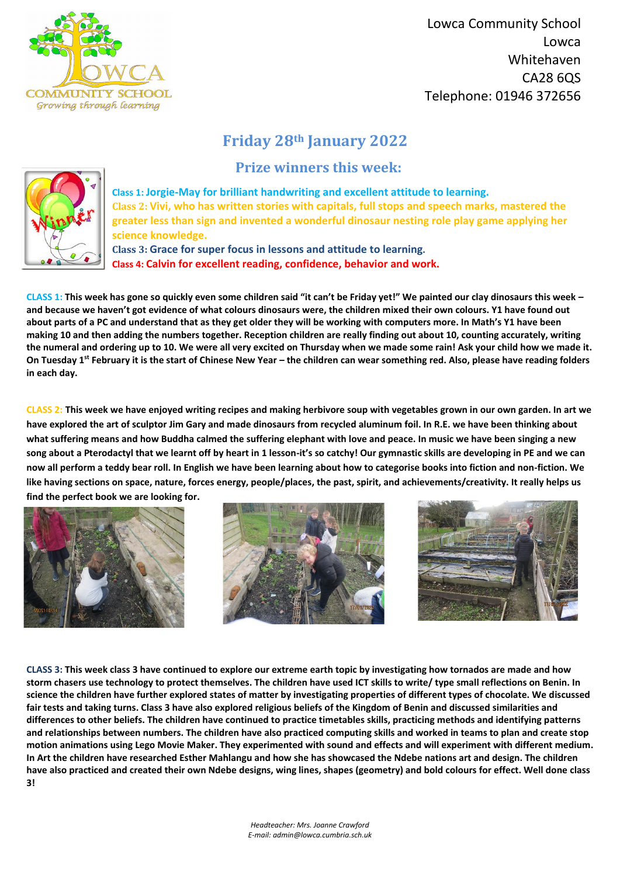

 Lowca Community School Lowca Whitehaven CA28 6QS Telephone: 01946 372656

*Headteacher: Mrs. Joanne Crawford E-mail: admin@lowca.cumbria.sch.uk*

## **Friday 28th January 2022**

 **Prize winners this week:**



**Class 1: Jorgie-May for brilliant handwriting and excellent attitude to learning. Class 2: Vivi, who has written stories with capitals, full stops and speech marks, mastered the greater less than sign and invented a wonderful dinosaur nesting role play game applying her science knowledge.** 

**Class 3: Grace for super focus in lessons and attitude to learning. Class 4: Calvin for excellent reading, confidence, behavior and work.**

**CLASS 1: This week has gone so quickly even some children said "it can't be Friday yet!" We painted our clay dinosaurs this week – and because we haven't got evidence of what colours dinosaurs were, the children mixed their own colours. Y1 have found out about parts of a PC and understand that as they get older they will be working with computers more. In Math's Y1 have been making 10 and then adding the numbers together. Reception children are really finding out about 10, counting accurately, writing the numeral and ordering up to 10. We were all very excited on Thursday when we made some rain! Ask your child how we made it. On Tuesday 1st February it is the start of Chinese New Year – the children can wear something red. Also, please have reading folders in each day.** 

**CLASS 2: This week we have enjoyed writing recipes and making herbivore soup with vegetables grown in our own garden. In art we have explored the art of sculptor Jim Gary and made dinosaurs from recycled aluminum foil. In R.E. we have been thinking about what suffering means and how Buddha calmed the suffering elephant with love and peace. In music we have been singing a new song about a Pterodactyl that we learnt off by heart in 1 lesson-it's so catchy! Our gymnastic skills are developing in PE and we can now all perform a teddy bear roll. In English we have been learning about how to categorise books into fiction and non-fiction. We like having sections on space, nature, forces energy, people/places, the past, spirit, and achievements/creativity. It really helps us find the perfect book we are looking for.**









**CLASS 3: This week class 3 have continued to explore our extreme earth topic by investigating how tornados are made and how storm chasers use technology to protect themselves. The children have used ICT skills to write/ type small reflections on Benin. In science the children have further explored states of matter by investigating properties of different types of chocolate. We discussed fair tests and taking turns. Class 3 have also explored religious beliefs of the Kingdom of Benin and discussed similarities and differences to other beliefs. The children have continued to practice timetables skills, practicing methods and identifying patterns and relationships between numbers. The children have also practiced computing skills and worked in teams to plan and create stop motion animations using Lego Movie Maker. They experimented with sound and effects and will experiment with different medium. In Art the children have researched Esther Mahlangu and how she has showcased the Ndebe nations art and design. The children have also practiced and created their own Ndebe designs, wing lines, shapes (geometry) and bold colours for effect. Well done class 3!**